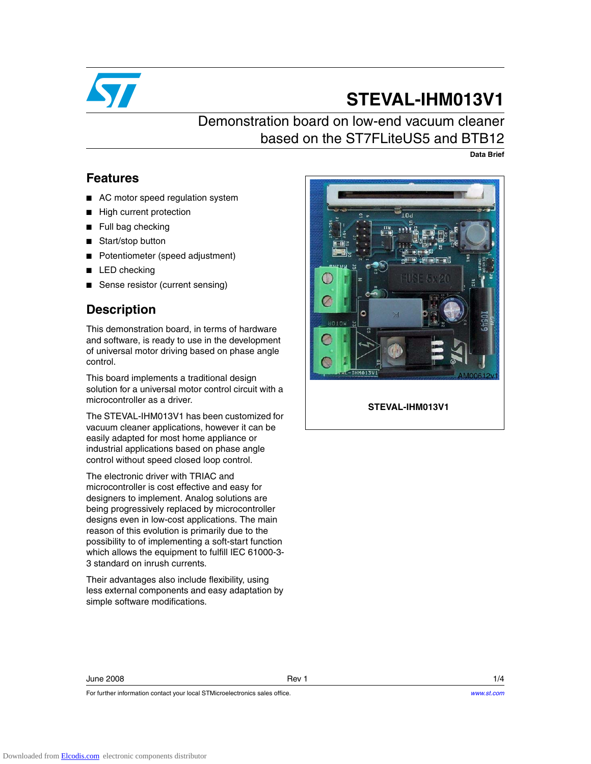

# **STEVAL-IHM013V1**

## Demonstration board on low-end vacuum cleaner based on the ST7FLiteUS5 and BTB12

**Data Brief**

### **Features**

- AC motor speed regulation system
- High current protection
- Full bag checking
- Start/stop button
- Potentiometer (speed adjustment)
- LED checking
- Sense resistor (current sensing)

### **Description**

This demonstration board, in terms of hardware and software, is ready to use in the development of universal motor driving based on phase angle control.

This board implements a traditional design solution for a universal motor control circuit with a microcontroller as a driver.

The STEVAL-IHM013V1 has been customized for vacuum cleaner applications, however it can be easily adapted for most home appliance or industrial applications based on phase angle control without speed closed loop control.

The electronic driver with TRIAC and microcontroller is cost effective and easy for designers to implement. Analog solutions are being progressively replaced by microcontroller designs even in low-cost applications. The main reason of this evolution is primarily due to the possibility to of implementing a soft-start function which allows the equipment to fulfill IEC 61000-3- 3 standard on inrush currents.

Their advantages also include flexibility, using less external components and easy adaptation by simple software modifications.

For further information contact your local STMicroelectronics sales office.



**STEVAL-IHM013V1**

### June 2008 Rev 1 1/4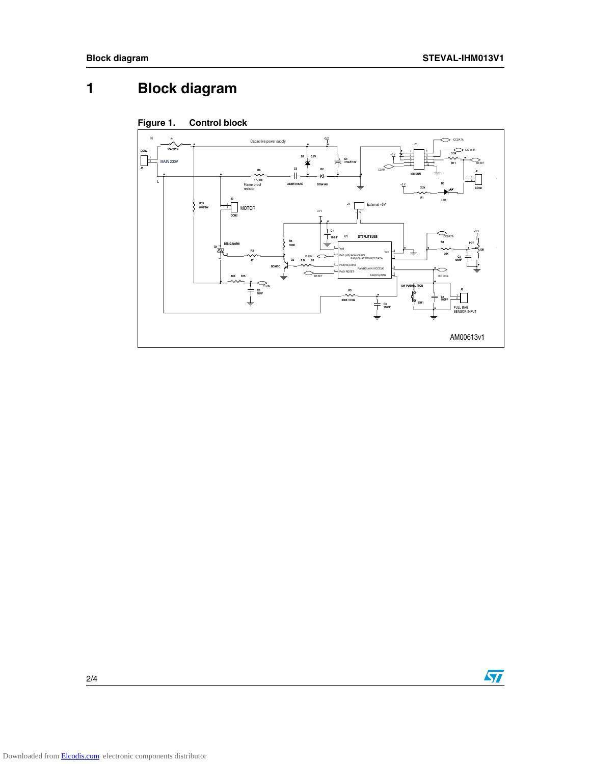## **1 Block diagram**



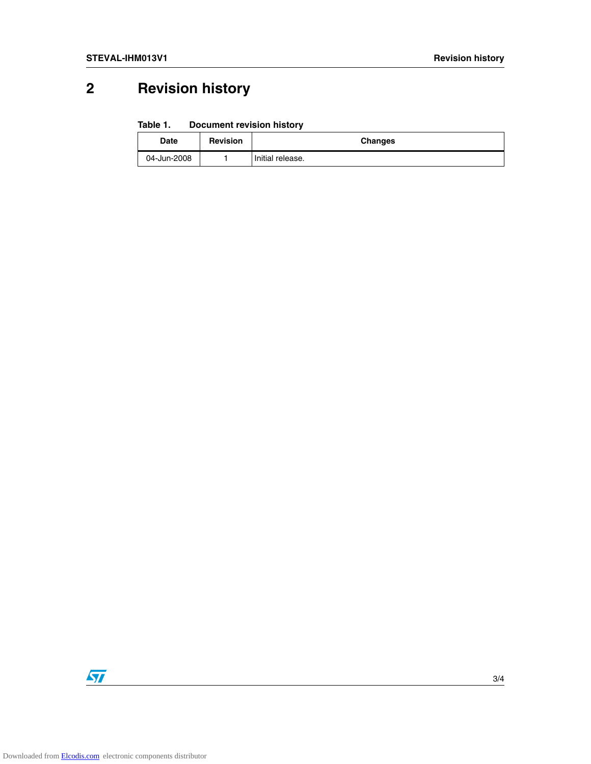## **2 Revision history**

#### Table 1. **Document revision history**

| <b>Date</b> | <b>Revision</b> | Changes          |
|-------------|-----------------|------------------|
| 04-Jun-2008 |                 | Initial release. |